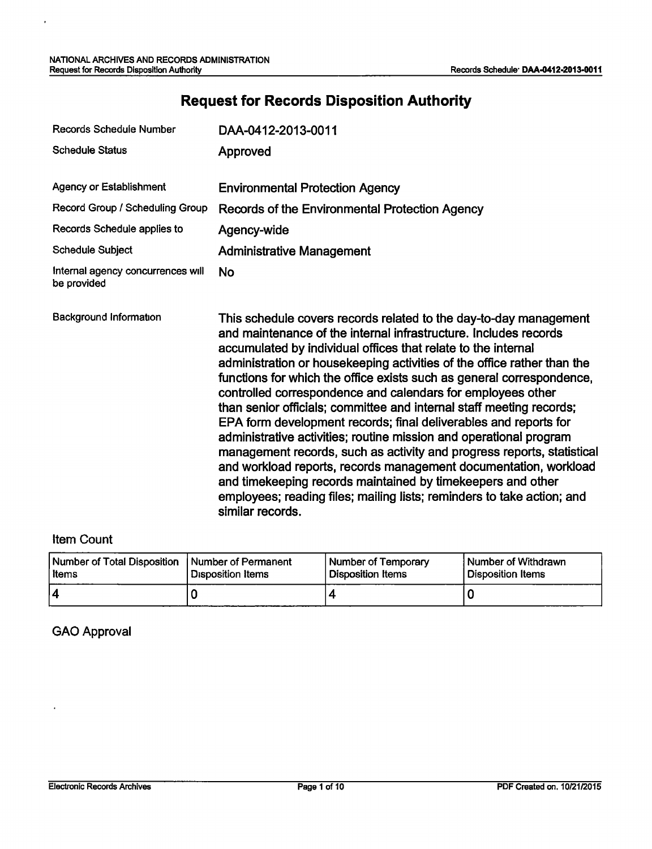l,

# **Request for Records Disposition Authority**

| Records Schedule Number                          | DAA-0412-2013-0011                                                                                                                                                                                                                                                                                                                                                                                                                                                                                                                                                                                                                                                                                                                                                                                                                                                                                                                                     |
|--------------------------------------------------|--------------------------------------------------------------------------------------------------------------------------------------------------------------------------------------------------------------------------------------------------------------------------------------------------------------------------------------------------------------------------------------------------------------------------------------------------------------------------------------------------------------------------------------------------------------------------------------------------------------------------------------------------------------------------------------------------------------------------------------------------------------------------------------------------------------------------------------------------------------------------------------------------------------------------------------------------------|
| <b>Schedule Status</b>                           | Approved                                                                                                                                                                                                                                                                                                                                                                                                                                                                                                                                                                                                                                                                                                                                                                                                                                                                                                                                               |
| <b>Agency or Establishment</b>                   | <b>Environmental Protection Agency</b>                                                                                                                                                                                                                                                                                                                                                                                                                                                                                                                                                                                                                                                                                                                                                                                                                                                                                                                 |
| Record Group / Scheduling Group                  | Records of the Environmental Protection Agency                                                                                                                                                                                                                                                                                                                                                                                                                                                                                                                                                                                                                                                                                                                                                                                                                                                                                                         |
| Records Schedule applies to                      | Agency-wide                                                                                                                                                                                                                                                                                                                                                                                                                                                                                                                                                                                                                                                                                                                                                                                                                                                                                                                                            |
| <b>Schedule Subject</b>                          | <b>Administrative Management</b>                                                                                                                                                                                                                                                                                                                                                                                                                                                                                                                                                                                                                                                                                                                                                                                                                                                                                                                       |
| Internal agency concurrences will<br>be provided | <b>No</b>                                                                                                                                                                                                                                                                                                                                                                                                                                                                                                                                                                                                                                                                                                                                                                                                                                                                                                                                              |
| Background Information                           | This schedule covers records related to the day-to-day management<br>and maintenance of the internal infrastructure. Includes records<br>accumulated by individual offices that relate to the internal<br>administration or housekeeping activities of the office rather than the<br>functions for which the office exists such as general correspondence,<br>controlled correspondence and calendars for employees other<br>than senior officials; committee and internal staff meeting records;<br>EPA form development records; final deliverables and reports for<br>administrative activities; routine mission and operational program<br>management records, such as activity and progress reports, statistical<br>and workload reports, records management documentation, workload<br>and timekeeping records maintained by timekeepers and other<br>employees; reading files; mailing lists; reminders to take action; and<br>similar records. |

### Item Count

| Number of Total Disposition | Number of Permanent | <b>Number of Temporary</b> | Number of Withdrawn |
|-----------------------------|---------------------|----------------------------|---------------------|
| Items                       | Disposition Items   | l Disposition Items        | Disposition Items   |
|                             |                     |                            |                     |

#### GAO Approval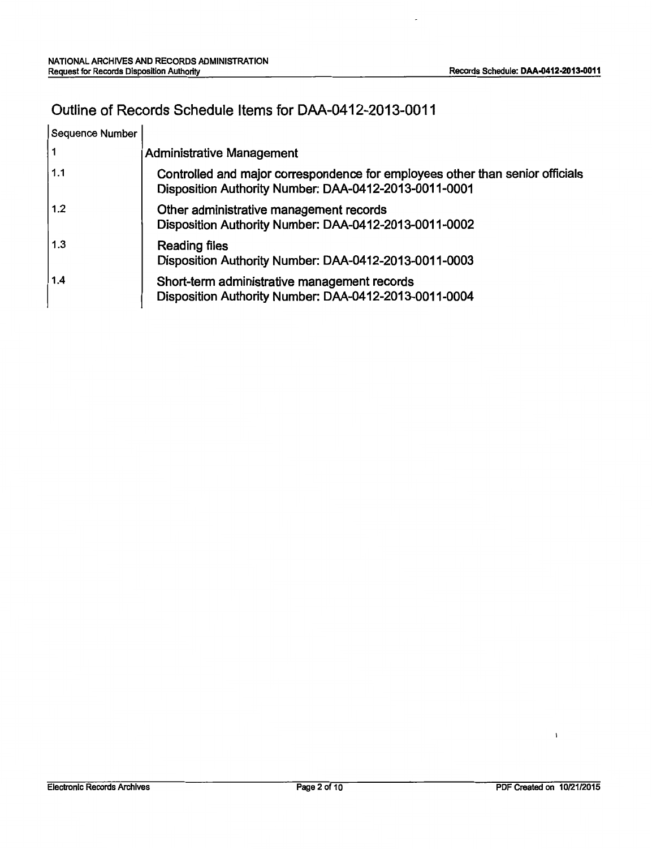$\overline{a}$ 

## Outline of Records Schedule Items for DAA-0412-2013-0011

| Sequence Number |                                                                                                                                        |
|-----------------|----------------------------------------------------------------------------------------------------------------------------------------|
| ∣ 1             | <b>Administrative Management</b>                                                                                                       |
| 1.1             | Controlled and major correspondence for employees other than senior officials<br>Disposition Authority Number: DAA-0412-2013-0011-0001 |
| 1.2             | Other administrative management records<br>Disposition Authority Number: DAA-0412-2013-0011-0002                                       |
| 1.3             | <b>Reading files</b><br>Disposition Authority Number: DAA-0412-2013-0011-0003                                                          |
| 1.4             | Short-term administrative management records<br>Disposition Authority Number: DAA-0412-2013-0011-0004                                  |

 $\mathbf{I}$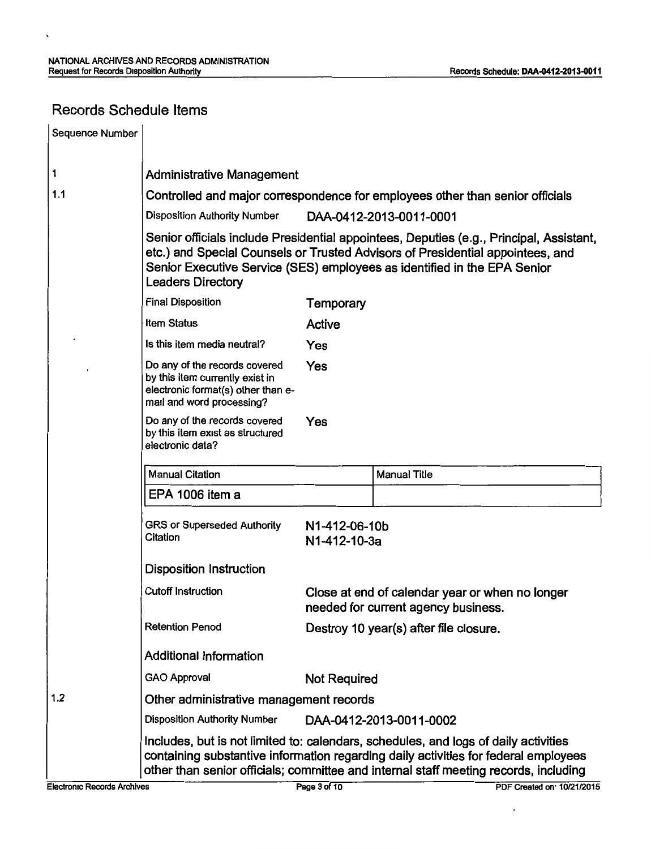## Records Schedule Items

 $\ddot{\phantom{0}}$ 

| Sequence Number |                                                                                                                                     |                                                                                                                                                                                                                                                       |                                                                                                                                                                                                                                                                    |  |  |
|-----------------|-------------------------------------------------------------------------------------------------------------------------------------|-------------------------------------------------------------------------------------------------------------------------------------------------------------------------------------------------------------------------------------------------------|--------------------------------------------------------------------------------------------------------------------------------------------------------------------------------------------------------------------------------------------------------------------|--|--|
| 1               | <b>Administrative Management</b>                                                                                                    |                                                                                                                                                                                                                                                       |                                                                                                                                                                                                                                                                    |  |  |
| 1.1             | Controlled and major correspondence for employees other than senior officials                                                       |                                                                                                                                                                                                                                                       |                                                                                                                                                                                                                                                                    |  |  |
|                 | <b>Disposition Authority Number</b>                                                                                                 |                                                                                                                                                                                                                                                       | DAA-0412-2013-0011-0001                                                                                                                                                                                                                                            |  |  |
|                 | <b>Leaders Directory</b>                                                                                                            | Senior officials include Presidential appointees, Deputies (e.g., Principal, Assistant,<br>etc.) and Special Counsels or Trusted Advisors of Presidential appointees, and<br>Senior Executive Service (SES) employees as identified in the EPA Senior |                                                                                                                                                                                                                                                                    |  |  |
|                 | <b>Final Disposition</b>                                                                                                            | <b>Temporary</b>                                                                                                                                                                                                                                      |                                                                                                                                                                                                                                                                    |  |  |
|                 | <b>Item Status</b>                                                                                                                  | Active                                                                                                                                                                                                                                                |                                                                                                                                                                                                                                                                    |  |  |
|                 | Is this item media neutral?                                                                                                         | Yes                                                                                                                                                                                                                                                   |                                                                                                                                                                                                                                                                    |  |  |
|                 | Do any of the records covered<br>by this item currently exist in<br>electronic format(s) other than e-<br>mail and word processing? | Yes                                                                                                                                                                                                                                                   |                                                                                                                                                                                                                                                                    |  |  |
|                 | Do any of the records covered<br>by this item exist as structured<br>electronic data?                                               | Yes                                                                                                                                                                                                                                                   |                                                                                                                                                                                                                                                                    |  |  |
|                 | <b>Manual Citation</b>                                                                                                              |                                                                                                                                                                                                                                                       | <b>Manual Title</b>                                                                                                                                                                                                                                                |  |  |
|                 | EPA 1006 item a                                                                                                                     |                                                                                                                                                                                                                                                       |                                                                                                                                                                                                                                                                    |  |  |
|                 | <b>GRS or Superseded Authority</b><br>Citation                                                                                      | N1-412-06-10b<br>N1-412-10-3a                                                                                                                                                                                                                         |                                                                                                                                                                                                                                                                    |  |  |
|                 | <b>Disposition Instruction</b>                                                                                                      |                                                                                                                                                                                                                                                       |                                                                                                                                                                                                                                                                    |  |  |
|                 | <b>Cutoff Instruction</b>                                                                                                           |                                                                                                                                                                                                                                                       | Close at end of calendar year or when no longer<br>needed for current agency business.                                                                                                                                                                             |  |  |
|                 | <b>Retention Period</b>                                                                                                             |                                                                                                                                                                                                                                                       | Destroy 10 year(s) after file closure.                                                                                                                                                                                                                             |  |  |
|                 | <b>Additional Information</b>                                                                                                       |                                                                                                                                                                                                                                                       |                                                                                                                                                                                                                                                                    |  |  |
|                 | <b>GAO Approval</b>                                                                                                                 | <b>Not Required</b>                                                                                                                                                                                                                                   |                                                                                                                                                                                                                                                                    |  |  |
| 1.2             | Other administrative management records                                                                                             |                                                                                                                                                                                                                                                       |                                                                                                                                                                                                                                                                    |  |  |
|                 | <b>Disposition Authority Number</b>                                                                                                 |                                                                                                                                                                                                                                                       | DAA-0412-2013-0011-0002                                                                                                                                                                                                                                            |  |  |
|                 |                                                                                                                                     |                                                                                                                                                                                                                                                       | Includes, but is not limited to: calendars, schedules, and logs of daily activities<br>containing substantive information regarding daily activities for federal employees<br>other than senior officials; committee and internal staff meeting records, including |  |  |

 $\cdot$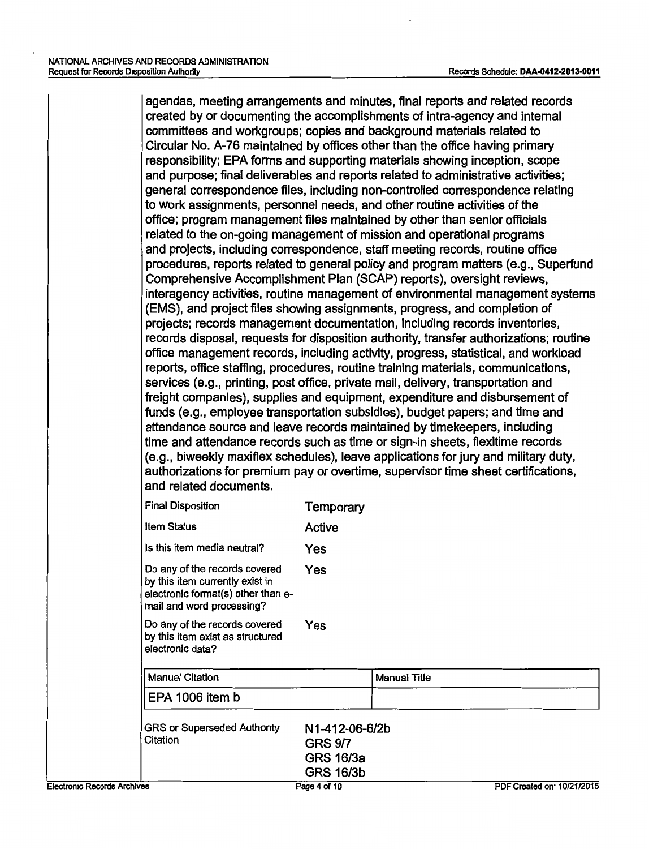agendas, meeting arrangements and minutes, final reports and related records created by or documenting the accomplishments of intra-agency and internal committees and workgroups; copies and background materials related to Circular No. A-76 maintained by offices other than the office having primary responsibility; EPA forms and supporting materials showing inception, scope and purpose; final deliverables and reports related to administrative activities; general correspondence files, including non-controlled correspondence relating to work assignments, personnel needs, and other routine activities of the office; program management files maintained by other than senior officials related to the on-going management of mission and operational programs and projects, including correspondence, staff meeting records, routine office procedures, reports related to general policy and program matters (e.g., Superfund Comprehensive Accomplishment Plan (SCAP) reports), oversight reviews, interagency activities, routine management of environmental management systems (EMS), and project files showing assignments, progress, and completion of projects; records management documentation, including records inventories, records disposal, requests for disposition authority, transfer authorizations; routine office management records, including activity, progress, statistical, and workload reports, office staffing, procedures, routine training materials, communications, services (e.g., printing, post office, private mail, delivery, transportation and freight companies), supplies and equipment, expenditure and disbursement of funds (e.g., employee transportation subsidies), budget papers; and time and attendance source and leave records maintained by timekeepers, including time and attendance records such as time or sign-in sheets, flexitime records (e.g., biweekly maxiflex schedules), leave applications for jury and military duty, authorizations for premium pay or overtime, supervisor time sheet certifications, and related documents.

| <b>Final Disposition</b>                                                                                                            | Temporary                                     |              |
|-------------------------------------------------------------------------------------------------------------------------------------|-----------------------------------------------|--------------|
| <b>Item Status</b>                                                                                                                  | Active                                        |              |
| Is this item media neutral?                                                                                                         | Yes                                           |              |
| Do any of the records covered<br>by this item currently exist in<br>electronic format(s) other than e-<br>mail and word processing? | Yes                                           |              |
| Do any of the records covered<br>by this item exist as structured<br>electronic data?                                               | Yes                                           |              |
| <b>Manual Citation</b>                                                                                                              |                                               | Manual Title |
| EPA 1006 item b                                                                                                                     |                                               |              |
| <b>GRS or Superseded Authority</b><br>Citation                                                                                      | N1-412-06-6/2b<br><b>GRS 9/7</b><br>GRS 16/3a |              |

GRS 16/3b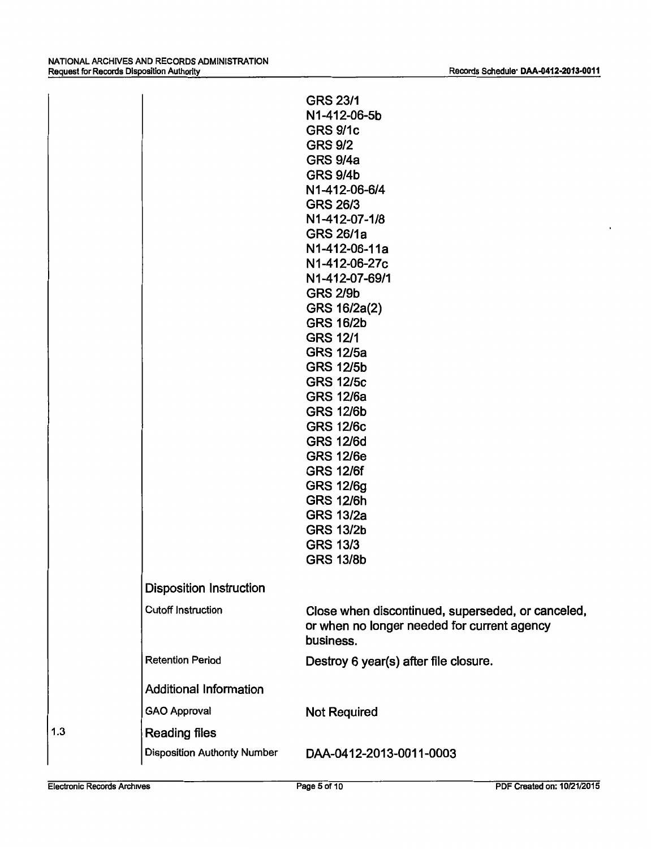|     |                                     | <b>GRS 23/1</b><br>N1-412-06-5b<br><b>GRS 9/1c</b><br><b>GRS 9/2</b><br><b>GRS 9/4a</b><br><b>GRS 9/4b</b><br>N1-412-06-6/4<br><b>GRS 26/3</b><br>N1-412-07-1/8<br><b>GRS 26/1a</b><br>N1-412-06-11a<br>N1-412-06-27c<br>N1-412-07-69/1<br><b>GRS 2/9b</b><br>GRS 16/2a(2)<br><b>GRS 16/2b</b><br><b>GRS 12/1</b><br><b>GRS 12/5a</b><br><b>GRS 12/5b</b><br><b>GRS 12/5c</b><br><b>GRS 12/6a</b><br><b>GRS 12/6b</b><br><b>GRS 12/6c</b><br><b>GRS 12/6d</b><br><b>GRS 12/6e</b><br><b>GRS 12/6f</b><br><b>GRS 12/6g</b><br><b>GRS 12/6h</b><br><b>GRS 13/2a</b><br><b>GRS 13/2b</b><br><b>GRS 13/3</b><br><b>GRS 13/8b</b> |
|-----|-------------------------------------|------------------------------------------------------------------------------------------------------------------------------------------------------------------------------------------------------------------------------------------------------------------------------------------------------------------------------------------------------------------------------------------------------------------------------------------------------------------------------------------------------------------------------------------------------------------------------------------------------------------------------|
|     | <b>Disposition Instruction</b>      |                                                                                                                                                                                                                                                                                                                                                                                                                                                                                                                                                                                                                              |
|     | <b>Cutoff Instruction</b>           | Close when discontinued, superseded, or canceled,<br>or when no longer needed for current agency<br>business.                                                                                                                                                                                                                                                                                                                                                                                                                                                                                                                |
|     | <b>Retention Period</b>             | Destroy 6 year(s) after file closure.                                                                                                                                                                                                                                                                                                                                                                                                                                                                                                                                                                                        |
|     | <b>Additional Information</b>       |                                                                                                                                                                                                                                                                                                                                                                                                                                                                                                                                                                                                                              |
|     | <b>GAO Approval</b>                 | <b>Not Required</b>                                                                                                                                                                                                                                                                                                                                                                                                                                                                                                                                                                                                          |
| 1.3 | <b>Reading files</b>                |                                                                                                                                                                                                                                                                                                                                                                                                                                                                                                                                                                                                                              |
|     | <b>Disposition Authority Number</b> | DAA-0412-2013-0011-0003                                                                                                                                                                                                                                                                                                                                                                                                                                                                                                                                                                                                      |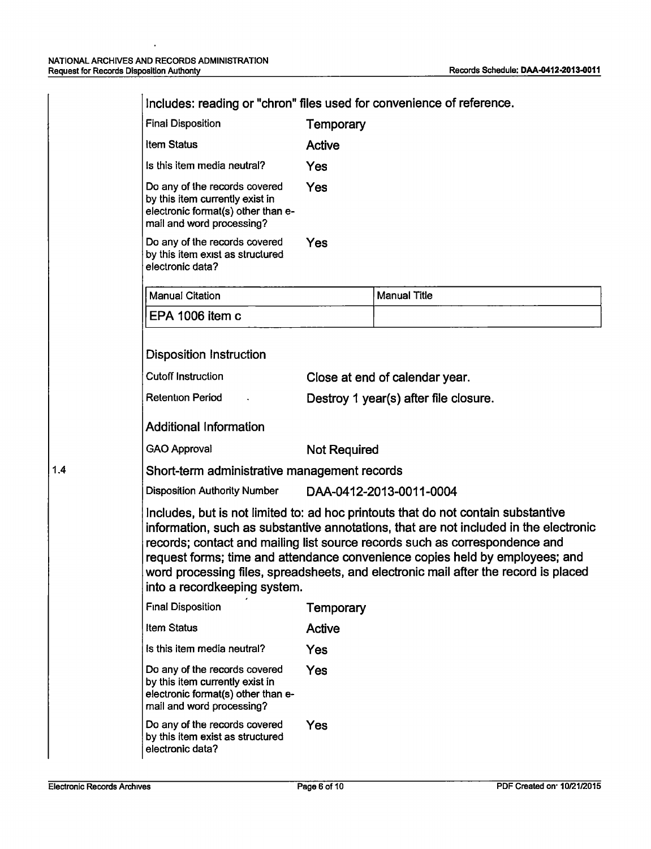| <b>Final Disposition</b>                                                                                                            | Temporary           |                                                                                                                                                                                                                                                                                                                                                                                                                                  |
|-------------------------------------------------------------------------------------------------------------------------------------|---------------------|----------------------------------------------------------------------------------------------------------------------------------------------------------------------------------------------------------------------------------------------------------------------------------------------------------------------------------------------------------------------------------------------------------------------------------|
| <b>Item Status</b>                                                                                                                  | <b>Active</b>       |                                                                                                                                                                                                                                                                                                                                                                                                                                  |
| Is this item media neutral?                                                                                                         | Yes                 |                                                                                                                                                                                                                                                                                                                                                                                                                                  |
| Do any of the records covered<br>by this item currently exist in<br>electronic format(s) other than e-<br>mail and word processing? | Yes                 |                                                                                                                                                                                                                                                                                                                                                                                                                                  |
| Do any of the records covered<br>by this item exist as structured<br>electronic data?                                               | Yes                 |                                                                                                                                                                                                                                                                                                                                                                                                                                  |
| <b>Manual Citation</b>                                                                                                              |                     | <b>Manual Title</b>                                                                                                                                                                                                                                                                                                                                                                                                              |
| EPA 1006 item c                                                                                                                     |                     |                                                                                                                                                                                                                                                                                                                                                                                                                                  |
| <b>Disposition Instruction</b><br><b>Cutoff Instruction</b>                                                                         |                     | Close at end of calendar year.                                                                                                                                                                                                                                                                                                                                                                                                   |
|                                                                                                                                     |                     |                                                                                                                                                                                                                                                                                                                                                                                                                                  |
| <b>Retention Period</b>                                                                                                             |                     | Destroy 1 year(s) after file closure.                                                                                                                                                                                                                                                                                                                                                                                            |
| <b>Additional Information</b>                                                                                                       |                     |                                                                                                                                                                                                                                                                                                                                                                                                                                  |
| <b>GAO Approval</b>                                                                                                                 | <b>Not Required</b> |                                                                                                                                                                                                                                                                                                                                                                                                                                  |
| Short-term administrative management records                                                                                        |                     |                                                                                                                                                                                                                                                                                                                                                                                                                                  |
| <b>Disposition Authority Number</b>                                                                                                 |                     | DAA-0412-2013-0011-0004                                                                                                                                                                                                                                                                                                                                                                                                          |
| into a recordkeeping system.                                                                                                        |                     | Includes, but is not limited to: ad hoc printouts that do not contain substantive<br>information, such as substantive annotations, that are not included in the electronic<br>records; contact and mailing list source records such as correspondence and<br>request forms; time and attendance convenience copies held by employees; and<br>word processing files, spreadsheets, and electronic mail after the record is placed |
| <b>Final Disposition</b>                                                                                                            | Temporary           |                                                                                                                                                                                                                                                                                                                                                                                                                                  |
| <b>Item Status</b>                                                                                                                  | Active              |                                                                                                                                                                                                                                                                                                                                                                                                                                  |
| Is this item media neutral?                                                                                                         | Yes                 |                                                                                                                                                                                                                                                                                                                                                                                                                                  |
| Do any of the records covered<br>by this item currently exist in<br>electronic format(s) other than e-<br>mail and word processing? | Yes                 |                                                                                                                                                                                                                                                                                                                                                                                                                                  |
| Do any of the records covered<br>by this item exist as structured<br>electronic data?                                               | Yes                 |                                                                                                                                                                                                                                                                                                                                                                                                                                  |

1.4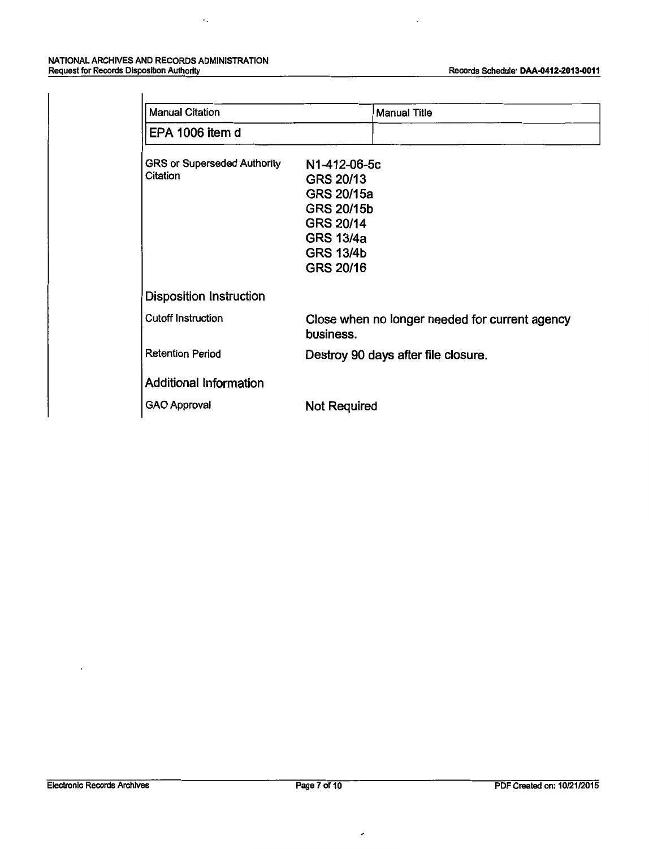#### NATIONAL ARCHIVES AND RECORDS ADMINISTRATION Request for Records Disposlbon Authority

 $\epsilon_s$ 

| Manual Citation                                | <b>Manual Title</b>                                                                                                     |
|------------------------------------------------|-------------------------------------------------------------------------------------------------------------------------|
| EPA 1006 item d                                |                                                                                                                         |
| <b>GRS or Superseded Authority</b><br>Citation | N1-412-06-5c<br>GRS 20/13<br>GRS 20/15a<br>GRS 20/15b<br>GRS 20/14<br><b>GRS 13/4a</b><br><b>GRS 13/4b</b><br>GRS 20/16 |
| Disposition Instruction                        |                                                                                                                         |
| Cutoff Instruction                             | Close when no longer needed for current agency<br>business.                                                             |
| <b>Retention Period</b>                        | Destroy 90 days after file closure.                                                                                     |
| <b>Additional Information</b>                  |                                                                                                                         |
| <b>GAO Approval</b>                            | <b>Not Required</b>                                                                                                     |

 $\overline{\phantom{a}}$ 

 $\overline{\phantom{a}}$ 

 $\overline{\phantom{a}}$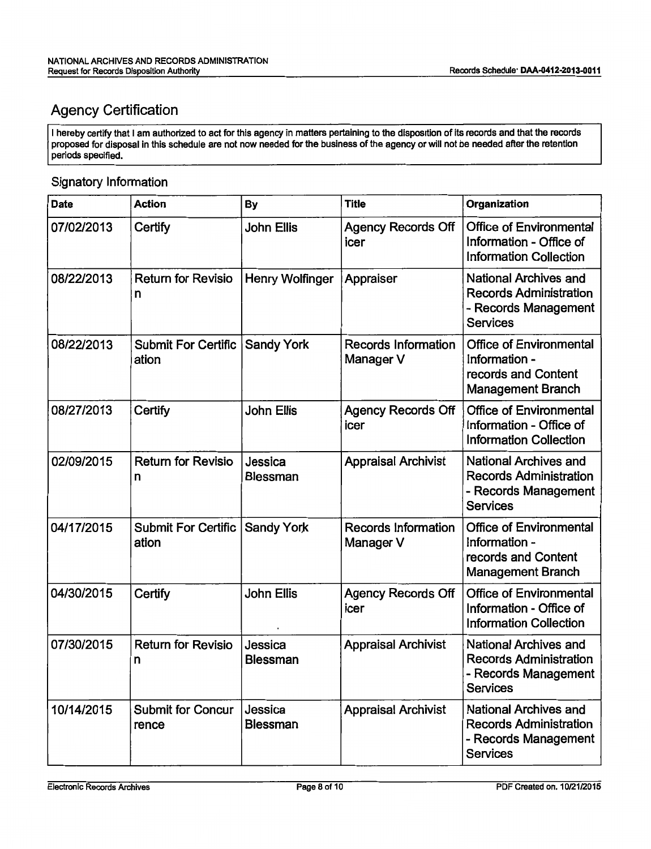## Agency Certification

I hereby certify that I am authorized to act for this agency in matters pertaining to the disposition of its records and that the records proposed for disposal in this schedule are not now needed for the business of the agency or will not be needed after the retention periods specified.

#### Signatory Information

| <b>Date</b> | <b>Action</b>                       | By                         | <b>Title</b>                            | Organization                                                                                             |
|-------------|-------------------------------------|----------------------------|-----------------------------------------|----------------------------------------------------------------------------------------------------------|
| 07/02/2013  | Certify                             | <b>John Ellis</b>          | <b>Agency Records Off</b><br>icer       | <b>Office of Environmental</b><br>Information - Office of<br><b>Information Collection</b>               |
| 08/22/2013  | <b>Return for Revisio</b><br>n      | Henry Wolfinger            | Appraiser                               | <b>National Archives and</b><br><b>Records Administration</b><br>- Records Management<br><b>Services</b> |
| 08/22/2013  | <b>Submit For Certific</b><br>ation | <b>Sandy York</b>          | <b>Records Information</b><br>Manager V | <b>Office of Environmental</b><br>Information -<br>records and Content<br><b>Management Branch</b>       |
| 08/27/2013  | Certify                             | <b>John Ellis</b>          | <b>Agency Records Off</b><br>icer       | <b>Office of Environmental</b><br>Information - Office of<br><b>Information Collection</b>               |
| 02/09/2015  | <b>Return for Revisio</b><br>n      | Jessica<br><b>Blessman</b> | <b>Appraisal Archivist</b>              | <b>National Archives and</b><br><b>Records Administration</b><br>- Records Management<br><b>Services</b> |
| 04/17/2015  | <b>Submit For Certific</b><br>ation | <b>Sandy York</b>          | <b>Records Information</b><br>Manager V | <b>Office of Environmental</b><br>Information -<br>records and Content<br><b>Management Branch</b>       |
| 04/30/2015  | Certify                             | <b>John Ellis</b>          | <b>Agency Records Off</b><br>icer       | <b>Office of Environmental</b><br>Information - Office of<br><b>Information Collection</b>               |
| 07/30/2015  | <b>Return for Revisio</b><br>n      | Jessica<br><b>Blessman</b> | <b>Appraisal Archivist</b>              | <b>National Archives and</b><br><b>Records Administration</b><br>Records Management<br><b>Services</b>   |
| 10/14/2015  | <b>Submit for Concur</b><br>rence   | Jessica<br><b>Blessman</b> | <b>Appraisal Archivist</b>              | <b>National Archives and</b><br><b>Records Administration</b><br>- Records Management<br><b>Services</b> |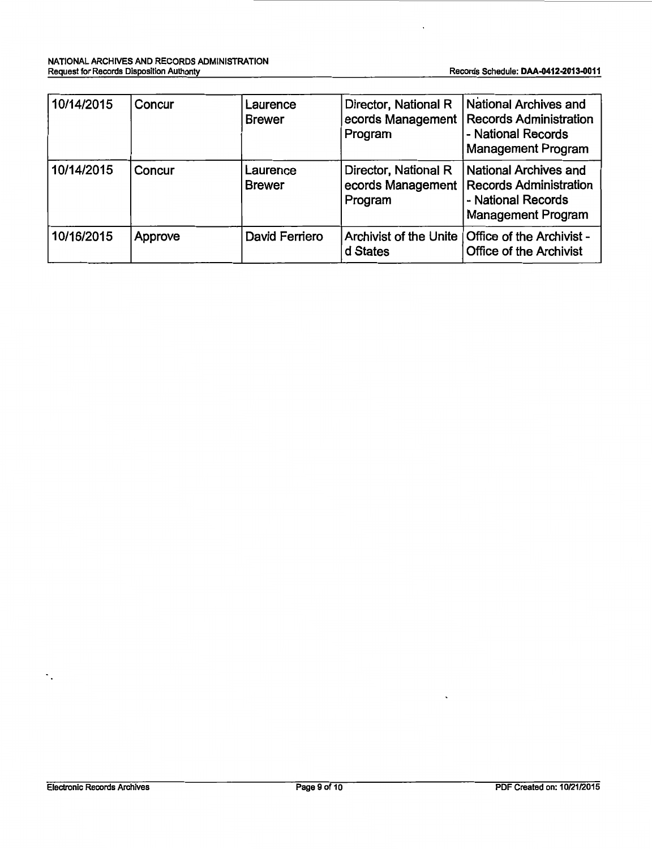| 10/14/2015 | Concur  | Laurence<br><b>Brewer</b> | Director, National R<br>ecords Management  <br>Program | National Archives and<br><b>Records Administration</b><br>- National Records<br><b>Management Program</b>        |
|------------|---------|---------------------------|--------------------------------------------------------|------------------------------------------------------------------------------------------------------------------|
| 10/14/2015 | Concur  | Laurence<br><b>Brewer</b> | Director, National R<br>ecords Management<br>Program   | <b>National Archives and</b><br><b>Records Administration</b><br>- National Records<br><b>Management Program</b> |
| 10/16/2015 | Approve | David Ferriero            | Archivist of the Unite<br>d States                     | Office of the Archivist -<br><b>Office of the Archivist</b>                                                      |

 $\gamma_{\rm s}$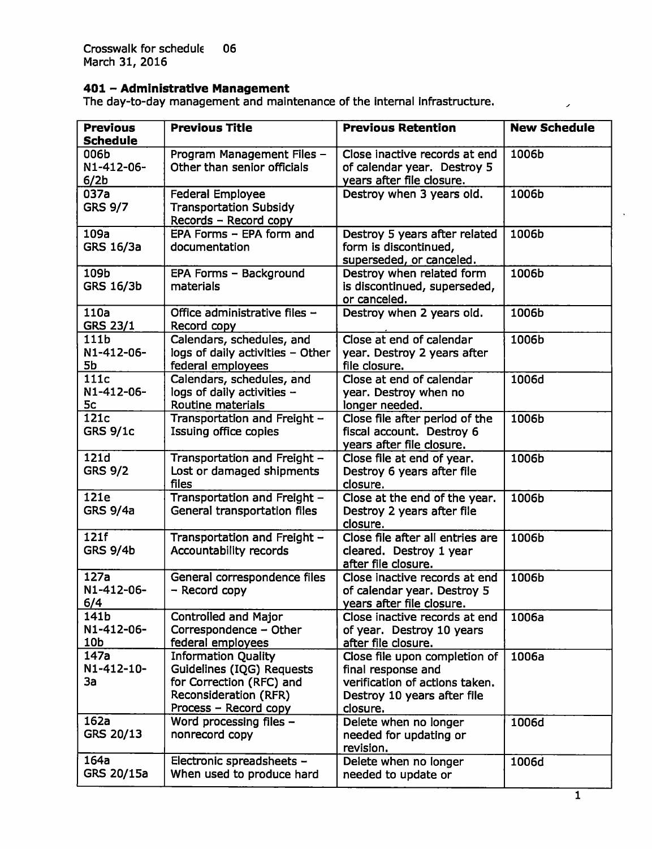Crosswalk for schedule 06 March 31, 2016

#### **401 - Administrative Management**

The day-to-day management and maintenance of the internal infrastructure.

| <b>Previous</b><br><b>Schedule</b>     | <b>Previous Title</b>                                                                                                                        | <b>Previous Retention</b>                                                                                                        | <b>New Schedule</b> |
|----------------------------------------|----------------------------------------------------------------------------------------------------------------------------------------------|----------------------------------------------------------------------------------------------------------------------------------|---------------------|
| 006b<br>N1-412-06-<br>6/2 <sub>b</sub> | Program Management Files -<br>Other than senior officials                                                                                    | Close inactive records at end<br>of calendar year. Destroy 5<br>years after file closure.                                        | 1006b               |
| 037a<br><b>GRS 9/7</b>                 | <b>Federal Employee</b><br><b>Transportation Subsidy</b><br>Records - Record copy                                                            | Destroy when 3 years old.                                                                                                        | 1006b               |
| 109a<br>GRS 16/3a                      | EPA Forms - EPA form and<br>documentation                                                                                                    | Destroy 5 years after related<br>form is discontinued,<br>superseded, or canceled.                                               | 1006b               |
| 109b<br><b>GRS 16/3b</b>               | EPA Forms - Background<br>materials                                                                                                          | Destroy when related form<br>is discontinued, superseded,<br>or canceled.                                                        | 1006b               |
| 110a<br><b>GRS 23/1</b>                | Office administrative files -<br>Record copy                                                                                                 | Destroy when 2 years old.                                                                                                        | 1006b               |
| 111b<br>N1-412-06-<br>5b               | Calendars, schedules, and<br>logs of daily activities - Other<br>federal employees                                                           | Close at end of calendar<br>year. Destroy 2 years after<br>file closure.                                                         | 1006b               |
| 111c<br>N1-412-06-<br>5c               | Calendars, schedules, and<br>logs of daily activities -<br>Routine materials                                                                 | Close at end of calendar<br>year. Destroy when no<br>longer needed.                                                              | 1006d               |
| 121c<br><b>GRS 9/1c</b>                | Transportation and Freight -<br><b>Issuing office copies</b>                                                                                 | Close file after period of the<br>fiscal account. Destroy 6<br>years after file closure.                                         | 1006b               |
| 121d<br><b>GRS 9/2</b>                 | Transportation and Freight -<br>Lost or damaged shipments<br>files                                                                           | Close file at end of year.<br>Destroy 6 years after file<br>closure.                                                             | 1006b               |
| 121e<br><b>GRS 9/4a</b>                | Transportation and Freight -<br>General transportation files                                                                                 | Close at the end of the year.<br>Destroy 2 years after file<br>closure.                                                          | 1006b               |
| 121f<br><b>GRS 9/4b</b>                | Transportation and Freight -<br>Accountability records                                                                                       | Close file after all entries are<br>cleared. Destroy 1 year<br>after file closure.                                               | 1006b               |
| 127a<br>N1-412-06-<br>6/4              | General correspondence files<br>- Record copy                                                                                                | Close inactive records at end<br>of calendar year. Destroy 5<br>years after file closure.                                        | 1006b               |
| 141b<br>N1-412-06-<br>10b              | Controlled and Major<br>Correspondence - Other<br>federal employees                                                                          | Close inactive records at end<br>of year. Destroy 10 years<br>after file closure.                                                | 1006a               |
| 147a<br>N1-412-10-<br>За               | <b>Information Ouality</b><br>Guidelines (IQG) Requests<br>for Correction (RFC) and<br><b>Reconsideration (RFR)</b><br>Process - Record copy | Close file upon completion of<br>final response and<br>verification of actions taken.<br>Destroy 10 years after file<br>closure. | 1006a               |
| 162a<br>GRS 20/13                      | Word processing files -<br>nonrecord copy                                                                                                    | Delete when no longer<br>needed for updating or<br>revision.                                                                     | 1006d               |
| 164a<br>GRS 20/15a                     | Electronic spreadsheets -<br>When used to produce hard                                                                                       | Delete when no longer<br>needed to update or                                                                                     | 1006d               |

 $\overline{\phantom{a}}$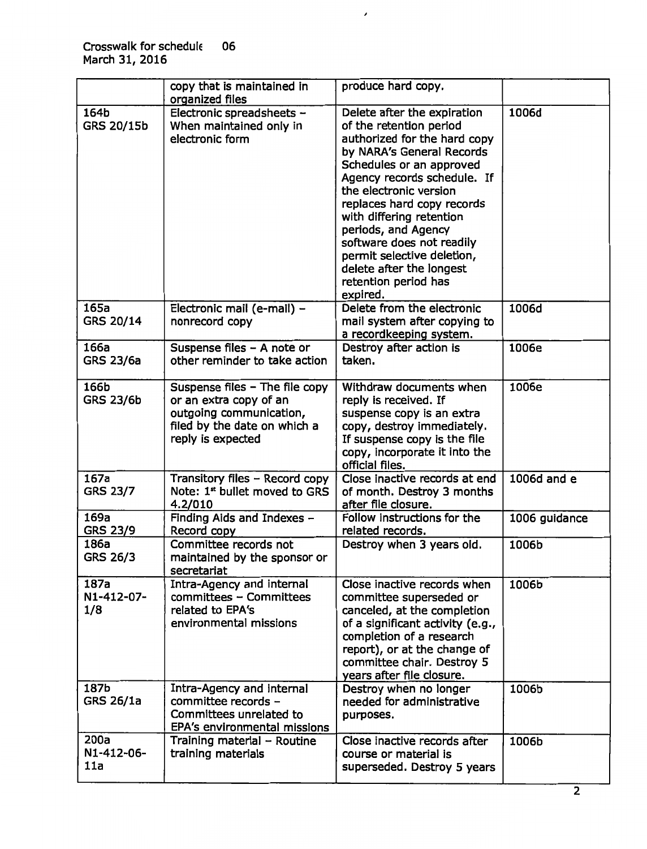|                           | copy that is maintained in                                                                                                               | produce hard copy.                                                                                                                                                                                                                                                                                                                                                                                                   |               |
|---------------------------|------------------------------------------------------------------------------------------------------------------------------------------|----------------------------------------------------------------------------------------------------------------------------------------------------------------------------------------------------------------------------------------------------------------------------------------------------------------------------------------------------------------------------------------------------------------------|---------------|
|                           | organized files                                                                                                                          |                                                                                                                                                                                                                                                                                                                                                                                                                      |               |
| 164b<br>GRS 20/15b        | Electronic spreadsheets -<br>When maintained only in<br>electronic form                                                                  | Delete after the expiration<br>of the retention period<br>authorized for the hard copy<br>by NARA's General Records<br>Schedules or an approved<br>Agency records schedule. If<br>the electronic version<br>replaces hard copy records<br>with differing retention<br>periods, and Agency<br>software does not readily<br>permit selective deletion,<br>delete after the longest<br>retention period has<br>expired. | 1006d         |
| 165a<br>GRS 20/14         | Electronic mail (e-mail) -<br>nonrecord copy                                                                                             | Delete from the electronic<br>mail system after copying to<br>a recordkeeping system.                                                                                                                                                                                                                                                                                                                                | 1006d         |
| 166a<br><b>GRS 23/6a</b>  | Suspense files - A note or<br>other reminder to take action                                                                              | Destroy after action is<br>taken.                                                                                                                                                                                                                                                                                                                                                                                    | 1006e         |
| 166b<br><b>GRS 23/6b</b>  | Suspense files - The file copy<br>or an extra copy of an<br>outgoing communication,<br>filed by the date on which a<br>reply is expected | Withdraw documents when<br>reply is received. If<br>suspense copy is an extra<br>copy, destroy immediately.<br>If suspense copy is the file<br>copy, incorporate it into the<br>official files.                                                                                                                                                                                                                      | 1006e         |
| 167a<br><b>GRS 23/7</b>   | Transitory files - Record copy<br>Note: 1 <sup>st</sup> bullet moved to GRS<br>4.2/010                                                   | Close inactive records at end<br>of month. Destroy 3 months<br>after file closure.                                                                                                                                                                                                                                                                                                                                   | 1006d and e   |
| 169a<br><b>GRS 23/9</b>   | Finding Aids and Indexes -<br>Record copy                                                                                                | Follow instructions for the<br>related records.                                                                                                                                                                                                                                                                                                                                                                      | 1006 guidance |
| 186a<br>GRS 26/3          | Committee records not<br>maintained by the sponsor or<br>secretariat                                                                     | Destroy when 3 years old.                                                                                                                                                                                                                                                                                                                                                                                            | 1006b         |
| 187a<br>N1-412-07-<br>1/8 | Intra-Agency and internal<br>committees - Committees<br>related to EPA's<br>environmental missions                                       | Close inactive records when<br>committee superseded or<br>canceled, at the completion<br>of a significant activity (e.g.,<br>completion of a research<br>report), or at the change of<br>committee chair. Destroy 5<br>years after file closure.                                                                                                                                                                     | 1006b         |
| 187b<br>GRS 26/1a         | Intra-Agency and internal<br>committee records -<br>Committees unrelated to<br>EPA's environmental missions                              | Destroy when no longer<br>needed for administrative<br>purposes.                                                                                                                                                                                                                                                                                                                                                     | 1006b         |
| 200a<br>N1-412-06-<br>11a | Training material - Routine<br>training materials                                                                                        | Close inactive records after<br>course or material is<br>superseded. Destroy 5 years                                                                                                                                                                                                                                                                                                                                 | 1006b         |

 $\overline{\phantom{a}}$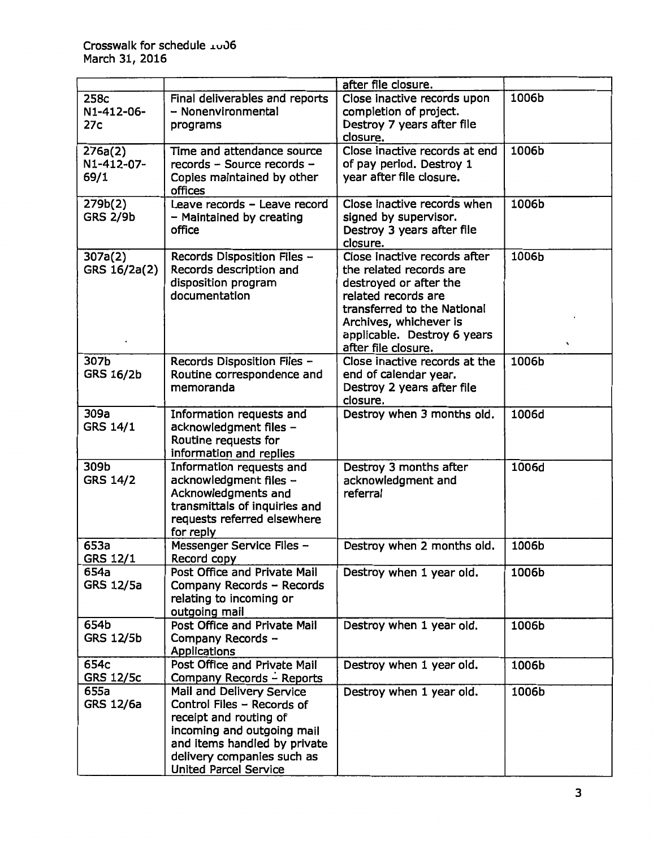|                               |                                                                                                                                                                                                               | after file closure.                                                                                                                                                                                                     |                  |
|-------------------------------|---------------------------------------------------------------------------------------------------------------------------------------------------------------------------------------------------------------|-------------------------------------------------------------------------------------------------------------------------------------------------------------------------------------------------------------------------|------------------|
| 258c<br>N1-412-06-<br>27c     | Final deliverables and reports<br>- Nonenvironmental<br>programs                                                                                                                                              | Close inactive records upon<br>completion of project.<br>Destroy 7 years after file<br>closure.                                                                                                                         | 1006b            |
| 276a(2)<br>N1-412-07-<br>69/1 | Time and attendance source<br>records - Source records -<br>Copies maintained by other<br>offices                                                                                                             | Close inactive records at end<br>of pay period. Destroy 1<br>year after file closure.                                                                                                                                   | 1006b            |
| 279b(2)<br><b>GRS 2/9b</b>    | Leave records - Leave record<br>- Maintained by creating<br>office                                                                                                                                            | Close inactive records when<br>signed by supervisor.<br>Destroy 3 years after file<br>closure.                                                                                                                          | 1006b            |
| 307a(2)<br>GRS 16/2a(2)       | Records Disposition Files -<br>Records description and<br>disposition program<br>documentation                                                                                                                | Close inactive records after<br>the related records are<br>destroyed or after the<br>related records are<br>transferred to the National<br>Archives, whichever is<br>applicable. Destroy 6 years<br>after file closure. | 1006b<br>$\cdot$ |
| 307b<br><b>GRS 16/2b</b>      | Records Disposition Files -<br>Routine correspondence and<br>memoranda                                                                                                                                        | Close inactive records at the<br>end of calendar year.<br>Destroy 2 years after file<br>closure.                                                                                                                        | 1006b            |
| 309a<br>GRS 14/1              | Information requests and<br>acknowledgment files -<br>Routine requests for<br>information and replies                                                                                                         | Destroy when 3 months old.                                                                                                                                                                                              | 1006d            |
| 309b<br><b>GRS 14/2</b>       | Information requests and<br>acknowledgment files -<br>Acknowledgments and<br>transmittals of inquiries and<br>requests referred elsewhere<br>for reply                                                        | Destroy 3 months after<br>acknowledgment and<br>referral                                                                                                                                                                | 1006d            |
| 653a<br>GRS 12/1              | Messenger Service Files -<br>Record copy                                                                                                                                                                      | Destroy when 2 months old.                                                                                                                                                                                              | 1006b            |
| 654a<br>GRS 12/5a             | Post Office and Private Mail<br>Company Records - Records<br>relating to incoming or<br>outgoing mail                                                                                                         | Destroy when 1 year old.                                                                                                                                                                                                | 1006b            |
| 654b<br>GRS 12/5b             | Post Office and Private Mail<br>Company Records -<br>Applications                                                                                                                                             | Destroy when 1 year old.                                                                                                                                                                                                | 1006b            |
| 654c<br><b>GRS 12/5c</b>      | Post Office and Private Mail<br>Company Records - Reports                                                                                                                                                     | Destroy when 1 year old.                                                                                                                                                                                                | 1006b            |
| 655a<br>GRS 12/6a             | Mail and Delivery Service<br>Control Files - Records of<br>receipt and routing of<br>incoming and outgoing mail<br>and items handled by private<br>delivery companies such as<br><b>United Parcel Service</b> | Destroy when 1 year old.                                                                                                                                                                                                | 1006b            |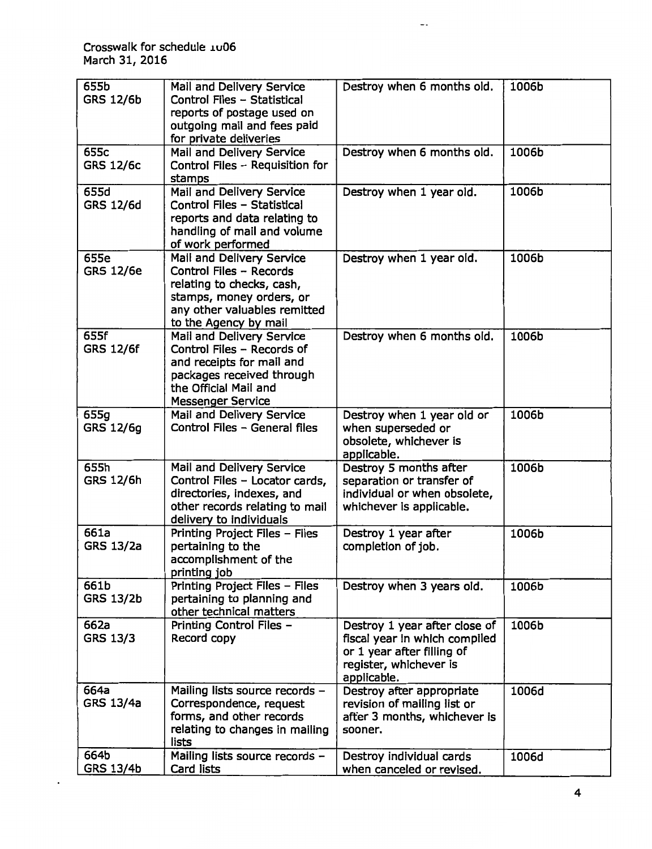Crosswalk for schedule .w06 March 31, 2016

| 655b<br><b>GRS 12/6b</b> | Mail and Delivery Service<br>Control Files - Statistical<br>reports of postage used on<br>outgoing mail and fees paid<br>for private deliveries                        | Destroy when 6 months old.                                                                                                            | 1006b |
|--------------------------|------------------------------------------------------------------------------------------------------------------------------------------------------------------------|---------------------------------------------------------------------------------------------------------------------------------------|-------|
| 655c<br><b>GRS 12/6c</b> | Mail and Delivery Service<br>Control Files - Requisition for<br>stamps                                                                                                 | Destroy when 6 months old.                                                                                                            | 1006b |
| 655d<br>GRS 12/6d        | Mail and Delivery Service<br>Control Files - Statistical<br>reports and data relating to<br>handling of mail and volume<br>of work performed                           | Destroy when 1 year old.                                                                                                              | 1006b |
| 655e<br><b>GRS 12/6e</b> | Mail and Delivery Service<br>Control Files - Records<br>relating to checks, cash,<br>stamps, money orders, or<br>any other valuables remitted<br>to the Agency by mail | Destroy when 1 year old.                                                                                                              | 1006b |
| 655f<br><b>GRS 12/6f</b> | Mail and Delivery Service<br>Control Files - Records of<br>and receipts for mail and<br>packages received through<br>the Official Mail and<br><b>Messenger Service</b> | Destroy when 6 months old.                                                                                                            | 1006b |
| 655g<br>GRS 12/6g        | Mail and Delivery Service<br>Control Files - General files                                                                                                             | Destroy when 1 year old or<br>when superseded or<br>obsolete, whichever is<br>applicable.                                             | 1006b |
| 655h<br>GRS 12/6h        | Mail and Delivery Service<br>Control Files - Locator cards,<br>directories, indexes, and<br>other records relating to mail<br>delivery to individuals                  | Destroy 5 months after<br>separation or transfer of<br>individual or when obsolete,<br>whichever is applicable.                       | 1006b |
| 661a<br><b>GRS 13/2a</b> | Printing Project Files - Files<br>pertaining to the<br>accomplishment of the<br>printing job                                                                           | Destroy 1 year after<br>completion of job.                                                                                            | 1006b |
| 661b<br><b>GRS 13/2b</b> | Printing Project Files - Files<br>pertaining to planning and<br>other technical matters                                                                                | Destroy when 3 years old.                                                                                                             | 1006b |
| 662a<br>GRS 13/3         | Printing Control Files -<br>Record copy                                                                                                                                | Destroy 1 year after close of<br>fiscal year in which compiled<br>or 1 year after filling of<br>register, whichever is<br>applicable. | 1006b |
| 664a<br><b>GRS 13/4a</b> | Mailing lists source records -<br>Correspondence, request<br>forms, and other records<br>relating to changes in mailing<br>lists                                       | Destroy after appropriate<br>revision of mailing list or<br>after 3 months, whichever is<br>sooner.                                   | 1006d |
| 664b<br>GRS 13/4b        | Mailing lists source records -<br>Card lists                                                                                                                           | Destroy individual cards<br>when canceled or revised.                                                                                 | 1006d |

 $\overline{\phantom{a}}$  .